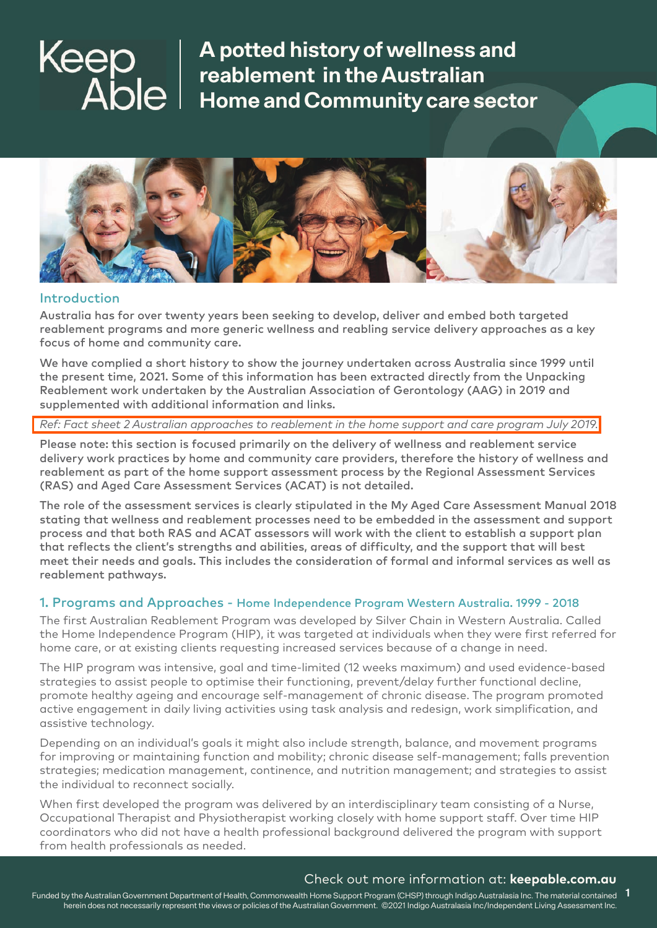

#### Introduction

Australia has for over twenty years been seeking to develop, deliver and embed both targeted reablement programs and more generic wellness and reabling service delivery approaches as a key focus of home and community care.

We have complied a short history to show the journey undertaken across Australia since 1999 until the present time, 2021. Some of this information has been extracted directly from the Unpacking Reablement work undertaken by the Australian Association of Gerontology (AAG) in 2019 and supplemented with additional information and links.

*[Ref: Fact sheet 2 Australian approaches to reablement in the home support and care program July 2019.](https://www.aag.asn.au/documents/item/2903)*

Please note: this section is focused primarily on the delivery of wellness and reablement service delivery work practices by home and community care providers, therefore the history of wellness and reablement as part of the home support assessment process by the Regional Assessment Services (RAS) and Aged Care Assessment Services (ACAT) is not detailed.

The role of the assessment services is clearly stipulated in the My Aged Care Assessment Manual 2018 stating that wellness and reablement processes need to be embedded in the assessment and support process and that both RAS and ACAT assessors will work with the client to establish a support plan that reflects the client's strengths and abilities, areas of difficulty, and the support that will best meet their needs and goals. This includes the consideration of formal and informal services as well as reablement pathways.

## 1. Programs and Approaches - Home Independence Program Western Australia. 1999 - 2018

The first Australian Reablement Program was developed by Silver Chain in Western Australia. Called the Home Independence Program (HIP), it was targeted at individuals when they were first referred for home care, or at existing clients requesting increased services because of a change in need.

The HIP program was intensive, goal and time-limited (12 weeks maximum) and used evidence-based strategies to assist people to optimise their functioning, prevent/delay further functional decline, promote healthy ageing and encourage self-management of chronic disease. The program promoted active engagement in daily living activities using task analysis and redesign, work simplification, and assistive technology.

Depending on an individual's goals it might also include strength, balance, and movement programs for improving or maintaining function and mobility; chronic disease self-management; falls prevention strategies; medication management, continence, and nutrition management; and strategies to assist the individual to reconnect socially.

When first developed the program was delivered by an interdisciplinary team consisting of a Nurse, Occupational Therapist and Physiotherapist working closely with home support staff. Over time HIP coordinators who did not have a health professional background delivered the program with support from health professionals as needed.

## Check out more information at: **keepable.com.au**

Funded by the Australian Government Department of Health, Commonwealth Home Support Program (CHSP) through Indigo Australasia Inc. The material contained **1**herein does not necessarily represent the views or policies of the Australian Government. ©2021 Indigo Australasia Inc/Independent Living Assessment Inc.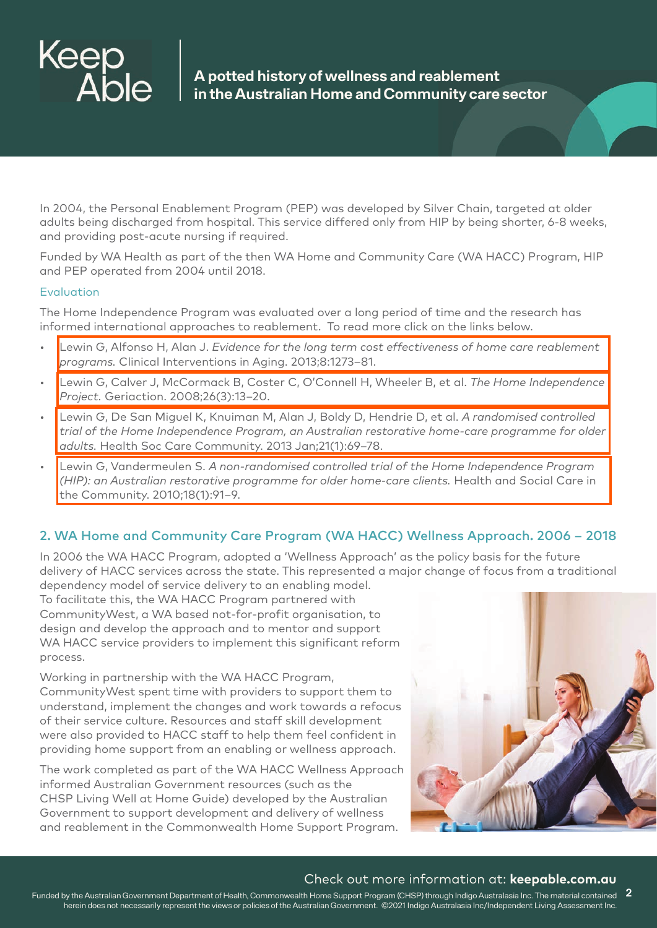

In 2004, the Personal Enablement Program (PEP) was developed by Silver Chain, targeted at older adults being discharged from hospital. This service differed only from HIP by being shorter, 6-8 weeks, and providing post-acute nursing if required.

Funded by WA Health as part of the then WA Home and Community Care (WA HACC) Program, HIP and PEP operated from 2004 until 2018.

#### Evaluation

The Home Independence Program was evaluated over a long period of time and the research has informed international approaches to reablement. To read more click on the links below.

- Lewin G, Alfonso H, Alan J. *[Evidence for the long term cost effectiveness of home care reablement](https://www.researchgate.net/publication/257757144_Evidence_for_the_long_term_cost_effectiveness_of_home_care_reablement_programs)  programs.* Clinical Interventions in Aging. 2013;8:1273–81.
- [Lewin G, Calver J, McCormack B, Coster C, O'Connell H, Wheeler B, et al.](https://www.ncbi.nlm.nih.gov/pmc/articles/PMC4920256/) *The Home Independence Project.* Geriaction. 2008;26(3):13–20.
- Lewin G, De San Miguel K, Knuiman M, Alan J, Boldy D, Hendrie D, et al. *A randomised controlled [trial of the Home Independence Program, an Australian restorative home-care programme for older](https://onlinelibrary.wiley.com/doi/pdf/10.1111/j.1365-2524.2012.01088.x)  adults.* Health Soc Care Community. 2013 Jan;21(1):69–78.
- Lewin G, Vandermeulen S. *A non-randomised controlled trial of the Home Independence Program [\(HIP\): an Australian restorative programme for older home-care clients.](http://www.ifa-copenhagen-summit.com/wp-content/uploads/2016/04/Lewin-Vandermeulen-2010-A-non-randomised-controlled-trial-of-the-Home-Independence-Program.pdf)* Health and Social Care in the Community. 2010;18(1):91–9.

## 2. WA Home and Community Care Program (WA HACC) Wellness Approach. 2006 – 2018

In 2006 the WA HACC Program, adopted a 'Wellness Approach' as the policy basis for the future delivery of HACC services across the state. This represented a major change of focus from a traditional

dependency model of service delivery to an enabling model. To facilitate this, the WA HACC Program partnered with CommunityWest, a WA based not-for-profit organisation, to design and develop the approach and to mentor and support WA HACC service providers to implement this significant reform process.

Working in partnership with the WA HACC Program, CommunityWest spent time with providers to support them to understand, implement the changes and work towards a refocus of their service culture. Resources and staff skill development were also provided to HACC staff to help them feel confident in providing home support from an enabling or wellness approach.

The work completed as part of the WA HACC Wellness Approach informed Australian Government resources (such as the CHSP Living Well at Home Guide) developed by the Australian Government to support development and delivery of wellness and reablement in the Commonwealth Home Support Program.



#### Check out more information at: **keepable.com.au**

Funded by the Australian Government Department of Health, Commonwealth Home Support Program (CHSP) through Indigo Australasia Inc. The material contained **2** herein does not necessarily represent the views or policies of the Australian Government. ©2021 Indigo Australasia Inc/Independent Living Assessment Inc.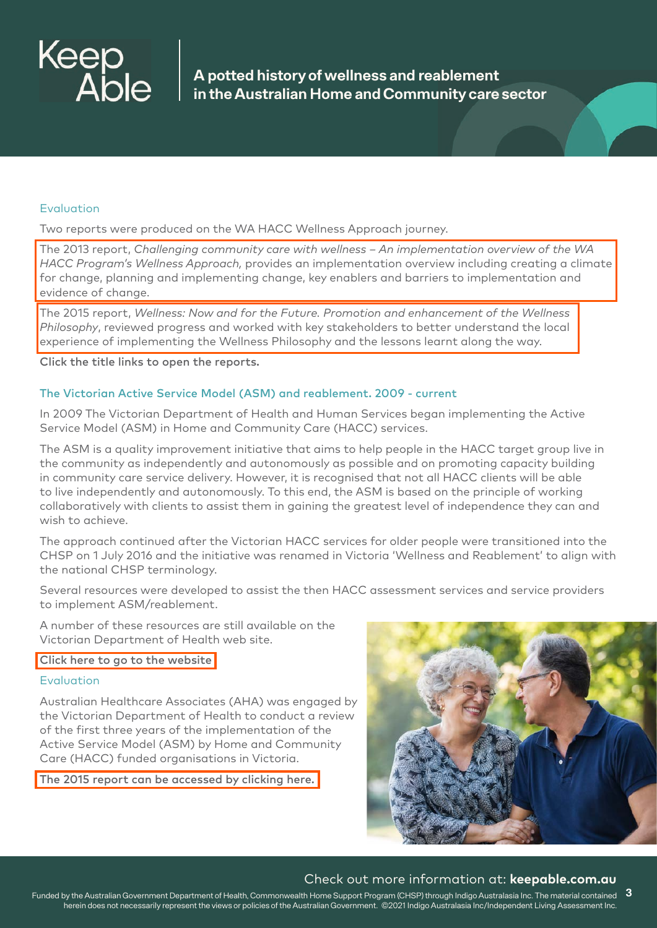

#### Evaluation

Two reports were produced on the WA HACC Wellness Approach journey.

The 2013 report, *Challenging community care with wellness – An implementation overview of the WA HACC Program's Wellness Approach,* provides an implementation overview including creating a climate [for change, planning and implementing change, key enablers and barriers to implementation and](https://keepable.com.au/wp-content/uploads/2021/05/Challenging-community-care-with-wellness.pdf)  evidence of change.

The 2015 report, *Wellness: Now and for the Future. Promotion and enhancement of the Wellness Philosophy*, reviewed progress and worked with key stakeholders to better understand the local [experience of implementing the Wellness Philosophy and the lessons learnt along the way.](https://keepable.com.au//wp-content/uploads/2021/05/Wellness-Now-and-for-the-future-Promotion-and-enhancement-of-the-Welln.._.pdf)

Click the title links to open the reports.

#### The Victorian Active Service Model (ASM) and reablement. 2009 - current

In 2009 The Victorian Department of Health and Human Services began implementing the Active Service Model (ASM) in Home and Community Care (HACC) services.

The ASM is a quality improvement initiative that aims to help people in the HACC target group live in the community as independently and autonomously as possible and on promoting capacity building in community care service delivery. However, it is recognised that not all HACC clients will be able to live independently and autonomously. To this end, the ASM is based on the principle of working collaboratively with clients to assist them in gaining the greatest level of independence they can and wish to achieve.

The approach continued after the Victorian HACC services for older people were transitioned into the CHSP on 1 July 2016 and the initiative was renamed in Victoria 'Wellness and Reablement' to align with the national CHSP terminology.

Several resources were developed to assist the then HACC assessment services and service providers to implement ASM/reablement.

A number of these resources are still available on the Victorian Department of Health web site.

#### [Click here to go to the website](https://www2.health.vic.gov.au/ageing-and-aged-care/home-and-community-care/hacc-program-for-younger-people/hacc-program-guidelines/hacc-quality-and-service-development/active-service-model/putting-asm-into-practice)

#### Evaluation

Australian Healthcare Associates (AHA) was engaged by the Victorian Department of Health to conduct a review of the first three years of the implementation of the Active Service Model (ASM) by Home and Community Care (HACC) funded organisations in Victoria.

[The 2015 report can be accessed by clicking here.](https://www.hwpcp.org.au/wp-content/uploads/2015/04/ASM-report-Final-march-2015.pdf)



#### Check out more information at: **keepable.com.au**

Funded by the Australian Government Department of Health, Commonwealth Home Support Program (CHSP) through Indigo Australasia Inc. The material contained **3** herein does not necessarily represent the views or policies of the Australian Government. ©2021 Indigo Australasia Inc/Independent Living Assessment Inc.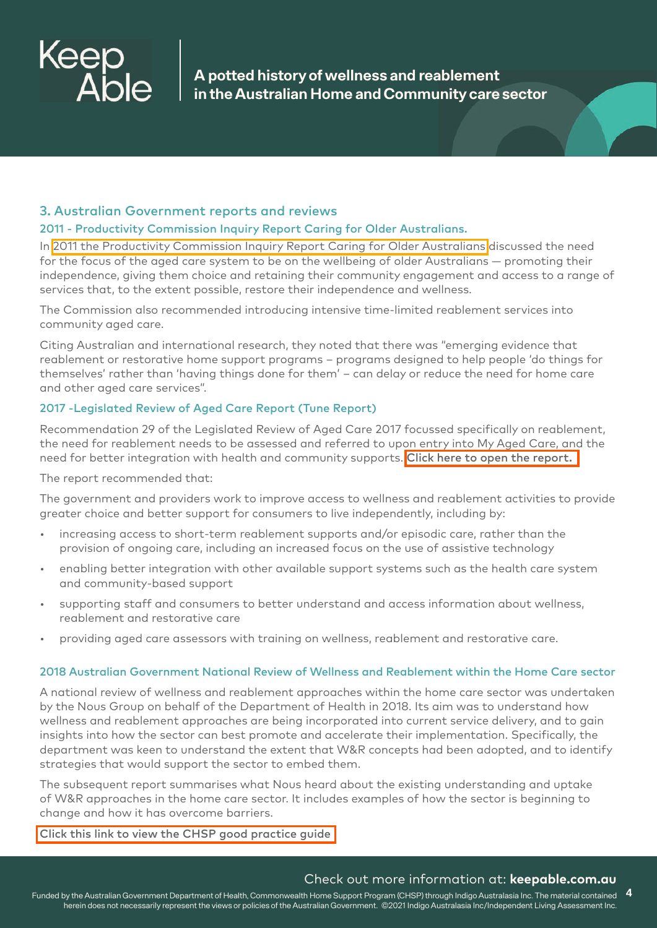

# 3. Australian Government reports and reviews

#### 2011 - Productivity Commission Inquiry Report Caring for Older Australians.

In [2011 the Productivity Commission Inquiry Report Caring for Older Australians](https://www.pc.gov.au/inquiries/completed/aged-care/report) discussed the need for the focus of the aged care system to be on the wellbeing of older Australians — promoting their independence, giving them choice and retaining their community engagement and access to a range of services that, to the extent possible, restore their independence and wellness.

The Commission also recommended introducing intensive time-limited reablement services into community aged care.

Citing Australian and international research, they noted that there was "emerging evidence that reablement or restorative home support programs – programs designed to help people 'do things for themselves' rather than 'having things done for them' – can delay or reduce the need for home care and other aged care services".

#### 2017 -Legislated Review of Aged Care Report (Tune Report)

Recommendation 29 of the Legislated Review of Aged Care 2017 focussed specifically on reablement, the need for reablement needs to be assessed and referred to upon entry into My Aged Care, and the need for better integration with health and community supports. [Click here to open the report.](https://www.health.gov.au/resources/publications/legislated-review-of-aged-care-2017-report)

The report recommended that:

The government and providers work to improve access to wellness and reablement activities to provide greater choice and better support for consumers to live independently, including by:

- increasing access to short-term reablement supports and/or episodic care, rather than the provision of ongoing care, including an increased focus on the use of assistive technology
- enabling better integration with other available support systems such as the health care system and community-based support
- supporting staff and consumers to better understand and access information about wellness, reablement and restorative care
- providing aged care assessors with training on wellness, reablement and restorative care.

#### 2018 Australian Government National Review of Wellness and Reablement within the Home Care sector

A national review of wellness and reablement approaches within the home care sector was undertaken by the Nous Group on behalf of the Department of Health in 2018. Its aim was to understand how wellness and reablement approaches are being incorporated into current service delivery, and to gain insights into how the sector can best promote and accelerate their implementation. Specifically, the department was keen to understand the extent that W&R concepts had been adopted, and to identify strategies that would support the sector to embed them.

The subsequent report summarises what Nous heard about the existing understanding and uptake of W&R approaches in the home care sector. It includes examples of how the sector is beginning to change and how it has overcome barriers.

[Click this link to view the CHSP good practice guide](https://www.health.gov.au/sites/default/files/documents/2019/12/wellness-and-reablement-summary-of-consultations-across-the-home-care-sector.pdf)

#### Check out more information at: **keepable.com.au**

Funded by the Australian Government Department of Health, Commonwealth Home Support Program (CHSP) through Indigo Australasia Inc. The material contained **4** herein does not necessarily represent the views or policies of the Australian Government. ©2021 Indigo Australasia Inc/Independent Living Assessment Inc.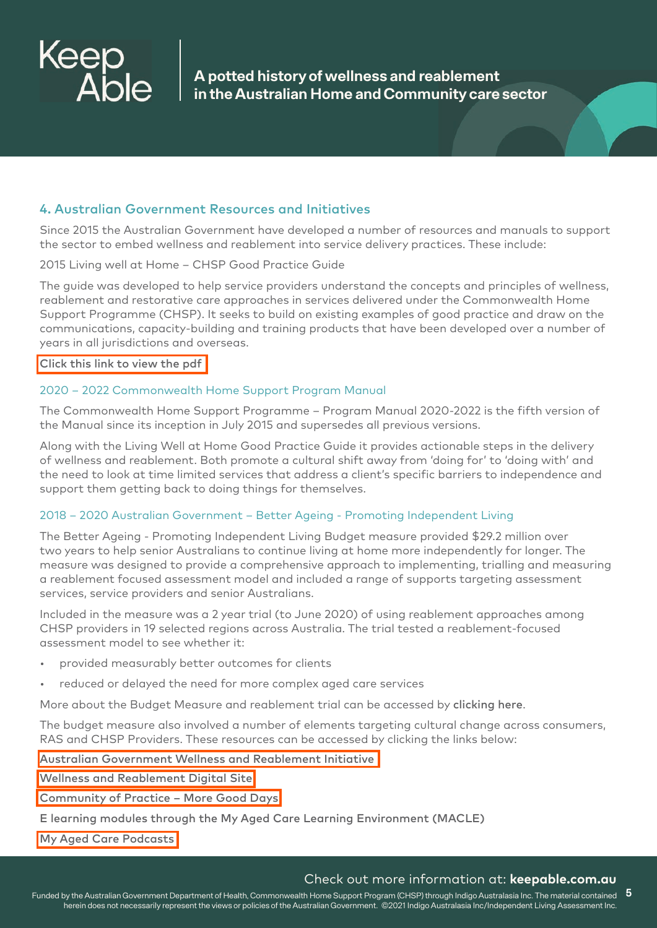

# 4. Australian Government Resources and Initiatives

Since 2015 the Australian Government have developed a number of resources and manuals to support the sector to embed wellness and reablement into service delivery practices. These include:

#### 2015 Living well at Home – CHSP Good Practice Guide

The guide was developed to help service providers understand the concepts and principles of wellness, reablement and restorative care approaches in services delivered under the Commonwealth Home Support Programme (CHSP). It seeks to build on existing examples of good practice and draw on the communications, capacity-building and training products that have been developed over a number of years in all jurisdictions and overseas.

[Click this link to view the pdf](https://www.health.gov.au/resources/publications/living-well-at-home-chsp-good-practice-guide)

#### 2020 – 2022 Commonwealth Home Support Program Manual

The Commonwealth Home Support Programme – Program Manual 2020-2022 is the fifth version of the Manual since its inception in July 2015 and supersedes all previous versions.

Along with the Living Well at Home Good Practice Guide it provides actionable steps in the delivery of wellness and reablement. Both promote a cultural shift away from 'doing for' to 'doing with' and the need to look at time limited services that address a client's specific barriers to independence and support them getting back to doing things for themselves.

#### 2018 – 2020 Australian Government – Better Ageing - Promoting Independent Living

The Better Ageing - Promoting Independent Living Budget measure provided \$29.2 million over two years to help senior Australians to continue living at home more independently for longer. The measure was designed to provide a comprehensive approach to implementing, trialling and measuring a reablement focused assessment model and included a range of supports targeting assessment services, service providers and senior Australians.

Included in the measure was a 2 year trial (to June 2020) of using reablement approaches among CHSP providers in 19 selected regions across Australia. The trial tested a reablement-focused assessment model to see whether it:

- provided measurably better outcomes for clients
- reduced or delayed the need for more complex aged care services

More about the Budget Measure and reablement trial can be accessed by clicking here.

The budget measure also involved a number of elements targeting cultural change across consumers, RAS and CHSP Providers. These resources can be accessed by clicking the links below:

[Australian Government Wellness and Reablement Initiative](https://www.health.gov.au/initiatives-and-programs/wellness-and-reablement-initiative) 

[Wellness and Reablement Digital Site](https://www.health.gov.au/initiatives-and-programs/wellness-and-reablement-initiative) 

[Community of Practice – More Good Days](https://www.more-good-days.com.au/)

E learning modules through the My Aged Care Learning Environment (MACLE)

[My Aged Care Podcasts](http://myagedcare.podbean.com/) 

#### Check out more information at: **keepable.com.au**

Funded by the Australian Government Department of Health, Commonwealth Home Support Program (CHSP) through Indigo Australasia Inc. The material contained **5** herein does not necessarily represent the views or policies of the Australian Government. ©2021 Indigo Australasia Inc/Independent Living Assessment Inc.